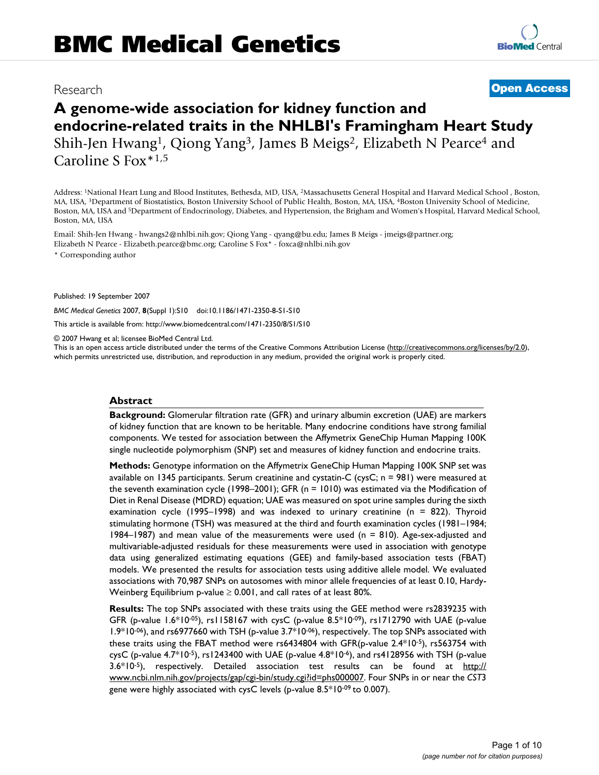# Research **[Open Access](http://www.biomedcentral.com/info/about/charter/)**

# **A genome-wide association for kidney function and endocrine-related traits in the NHLBI's Framingham Heart Study** Shih-Jen Hwang<sup>1</sup>, Qiong Yang<sup>3</sup>, James B Meigs<sup>2</sup>, Elizabeth N Pearce<sup>4</sup> and Caroline S Fox\*1,5

Address: 1National Heart Lung and Blood Institutes, Bethesda, MD, USA, 2Massachusetts General Hospital and Harvard Medical School , Boston, MA, USA, 3Department of Biostatistics, Boston University School of Public Health, Boston, MA, USA, 4Boston University School of Medicine, Boston, MA, USA and 5Department of Endocrinology, Diabetes, and Hypertension, the Brigham and Women's Hospital, Harvard Medical School, Boston, MA, USA

Email: Shih-Jen Hwang - hwangs2@nhlbi.nih.gov; Qiong Yang - qyang@bu.edu; James B Meigs - jmeigs@partner.org; Elizabeth N Pearce - Elizabeth.pearce@bmc.org; Caroline S Fox\* - foxca@nhlbi.nih.gov

\* Corresponding author

Published: 19 September 2007

*BMC Medical Genetics* 2007, **8**(Suppl 1):S10 doi:10.1186/1471-2350-8-S1-S10

[This article is available from: http://www.biomedcentral.com/1471-2350/8/S1/S10](http://www.biomedcentral.com/1471-2350/8/S1/S10)

© 2007 Hwang et al; licensee BioMed Central Ltd.

This is an open access article distributed under the terms of the Creative Commons Attribution License [\(http://creativecommons.org/licenses/by/2.0\)](http://creativecommons.org/licenses/by/2.0), which permits unrestricted use, distribution, and reproduction in any medium, provided the original work is properly cited.

#### **Abstract**

**Background:** Glomerular filtration rate (GFR) and urinary albumin excretion (UAE) are markers of kidney function that are known to be heritable. Many endocrine conditions have strong familial components. We tested for association between the Affymetrix GeneChip Human Mapping 100K single nucleotide polymorphism (SNP) set and measures of kidney function and endocrine traits.

**Methods:** Genotype information on the Affymetrix GeneChip Human Mapping 100K SNP set was available on 1345 participants. Serum creatinine and cystatin-C (cysC; n = 981) were measured at the seventh examination cycle (1998–2001); GFR (n = 1010) was estimated via the Modification of Diet in Renal Disease (MDRD) equation; UAE was measured on spot urine samples during the sixth examination cycle (1995–1998) and was indexed to urinary creatinine (n = 822). Thyroid stimulating hormone (TSH) was measured at the third and fourth examination cycles (1981–1984; 1984–1987) and mean value of the measurements were used ( $n = 810$ ). Age-sex-adjusted and multivariable-adjusted residuals for these measurements were used in association with genotype data using generalized estimating equations (GEE) and family-based association tests (FBAT) models. We presented the results for association tests using additive allele model. We evaluated associations with 70,987 SNPs on autosomes with minor allele frequencies of at least 0.10, Hardy-Weinberg Equilibrium p-value  $\geq 0.001$ , and call rates of at least 80%.

**Results:** The top SNPs associated with these traits using the GEE method were rs2839235 with GFR (p-value 1.6\*10-05), rs1158167 with cysC (p-value 8.5\*10-09), rs1712790 with UAE (p-value 1.9\*10-06), and rs6977660 with TSH (p-value 3.7\*10-06), respectively. The top SNPs associated with these traits using the FBAT method were rs6434804 with GFR(p-value 2.4\*10-5), rs563754 with cysC (p-value  $4.7*10^{-5}$ ), rs1243400 with UAE (p-value  $4.8*10^{-6}$ ), and rs4128956 with TSH (p-value 3.6\*10-5), respectively. Detailed association test results can be found at  $\frac{h t t p}{l}$ [www.ncbi.nlm.nih.gov/projects/gap/cgi-bin/study.cgi?id=phs000007](http://www.ncbi.nlm.nih.gov/projects/gap/cgi-bin/study.cgi?id=phs000007). Four SNPs in or near the *CST*3 gene were highly associated with cysC levels (p-value 8.5\*10-09 to 0.007).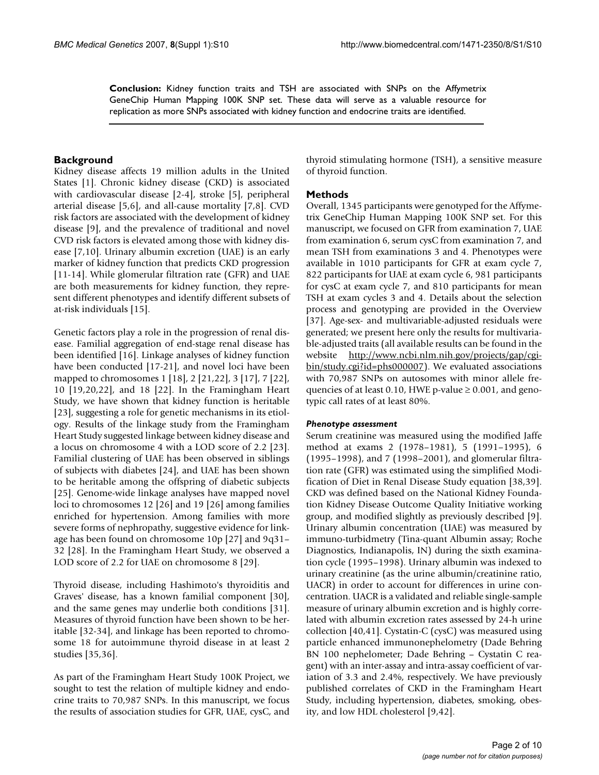**Conclusion:** Kidney function traits and TSH are associated with SNPs on the Affymetrix GeneChip Human Mapping 100K SNP set. These data will serve as a valuable resource for replication as more SNPs associated with kidney function and endocrine traits are identified.

# **Background**

Kidney disease affects 19 million adults in the United States [1]. Chronic kidney disease (CKD) is associated with cardiovascular disease [2-4], stroke [5], peripheral arterial disease [5,6], and all-cause mortality [7,8]. CVD risk factors are associated with the development of kidney disease [9], and the prevalence of traditional and novel CVD risk factors is elevated among those with kidney disease [7,10]. Urinary albumin excretion (UAE) is an early marker of kidney function that predicts CKD progression [11-14]. While glomerular filtration rate (GFR) and UAE are both measurements for kidney function, they represent different phenotypes and identify different subsets of at-risk individuals [15].

Genetic factors play a role in the progression of renal disease. Familial aggregation of end-stage renal disease has been identified [16]. Linkage analyses of kidney function have been conducted [17-21], and novel loci have been mapped to chromosomes 1 [18], 2 [21,22], 3 [17], 7 [22], 10 [19,20,22], and 18 [22]. In the Framingham Heart Study, we have shown that kidney function is heritable [23], suggesting a role for genetic mechanisms in its etiology. Results of the linkage study from the Framingham Heart Study suggested linkage between kidney disease and a locus on chromosome 4 with a LOD score of 2.2 [23]. Familial clustering of UAE has been observed in siblings of subjects with diabetes [24], and UAE has been shown to be heritable among the offspring of diabetic subjects [25]. Genome-wide linkage analyses have mapped novel loci to chromosomes 12 [26] and 19 [26] among families enriched for hypertension. Among families with more severe forms of nephropathy, suggestive evidence for linkage has been found on chromosome 10p [27] and 9q31– 32 [28]. In the Framingham Heart Study, we observed a LOD score of 2.2 for UAE on chromosome 8 [29].

Thyroid disease, including Hashimoto's thyroiditis and Graves' disease, has a known familial component [30], and the same genes may underlie both conditions [31]. Measures of thyroid function have been shown to be heritable [32-34], and linkage has been reported to chromosome 18 for autoimmune thyroid disease in at least 2 studies [35,36].

As part of the Framingham Heart Study 100K Project, we sought to test the relation of multiple kidney and endocrine traits to 70,987 SNPs. In this manuscript, we focus the results of association studies for GFR, UAE, cysC, and

thyroid stimulating hormone (TSH), a sensitive measure of thyroid function.

## **Methods**

Overall, 1345 participants were genotyped for the Affymetrix GeneChip Human Mapping 100K SNP set. For this manuscript, we focused on GFR from examination 7, UAE from examination 6, serum cysC from examination 7, and mean TSH from examinations 3 and 4. Phenotypes were available in 1010 participants for GFR at exam cycle 7, 822 participants for UAE at exam cycle 6, 981 participants for cysC at exam cycle 7, and 810 participants for mean TSH at exam cycles 3 and 4. Details about the selection process and genotyping are provided in the Overview [37]. Age-sex- and multivariable-adjusted residuals were generated; we present here only the results for multivariable-adjusted traits (all available results can be found in the website [http://www.ncbi.nlm.nih.gov/projects/gap/cgi](http://www.ncbi.nlm.nih.gov/projects/gap/cgi-bin/study.cgi?id=phs000007)[bin/study.cgi?id=phs000007](http://www.ncbi.nlm.nih.gov/projects/gap/cgi-bin/study.cgi?id=phs000007)). We evaluated associations with 70,987 SNPs on autosomes with minor allele frequencies of at least 0.10, HWE p-value  $\geq$  0.001, and genotypic call rates of at least 80%.

#### *Phenotype assessment*

Serum creatinine was measured using the modified Jaffe method at exams 2 (1978–1981), 5 (1991–1995), 6 (1995–1998), and 7 (1998–2001), and glomerular filtration rate (GFR) was estimated using the simplified Modification of Diet in Renal Disease Study equation [38,39]. CKD was defined based on the National Kidney Foundation Kidney Disease Outcome Quality Initiative working group, and modified slightly as previously described [9]. Urinary albumin concentration (UAE) was measured by immuno-turbidmetry (Tina-quant Albumin assay; Roche Diagnostics, Indianapolis, IN) during the sixth examination cycle (1995–1998). Urinary albumin was indexed to urinary creatinine (as the urine albumin/creatinine ratio, UACR) in order to account for differences in urine concentration. UACR is a validated and reliable single-sample measure of urinary albumin excretion and is highly correlated with albumin excretion rates assessed by 24-h urine collection [40,41]. Cystatin-C (cysC) was measured using particle enhanced immunonephelometry (Dade Behring BN 100 nephelometer; Dade Behring – Cystatin C reagent) with an inter-assay and intra-assay coefficient of variation of 3.3 and 2.4%, respectively. We have previously published correlates of CKD in the Framingham Heart Study, including hypertension, diabetes, smoking, obesity, and low HDL cholesterol [9,42].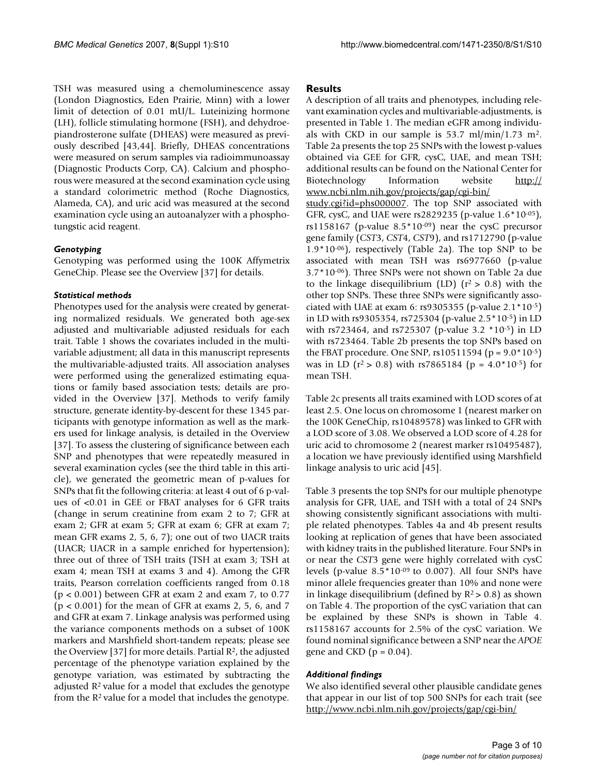TSH was measured using a chemoluminescence assay (London Diagnostics, Eden Prairie, Minn) with a lower limit of detection of 0.01 mU/L. Luteinizing hormone (LH), follicle stimulating hormone (FSH), and dehydroepiandrosterone sulfate (DHEAS) were measured as previously described [43,44]. Briefly, DHEAS concentrations were measured on serum samples via radioimmunoassay (Diagnostic Products Corp, CA). Calcium and phosphorous were measured at the second examination cycle using a standard colorimetric method (Roche Diagnostics, Alameda, CA), and uric acid was measured at the second examination cycle using an autoanalyzer with a phosphotungstic acid reagent.

#### *Genotyping*

Genotyping was performed using the 100K Affymetrix GeneChip. Please see the Overview [37] for details.

#### *Statistical methods*

Phenotypes used for the analysis were created by generating normalized residuals. We generated both age-sex adjusted and multivariable adjusted residuals for each trait. Table 1 shows the covariates included in the multivariable adjustment; all data in this manuscript represents the multivariable-adjusted traits. All association analyses were performed using the generalized estimating equations or family based association tests; details are provided in the Overview [37]. Methods to verify family structure, generate identity-by-descent for these 1345 participants with genotype information as well as the markers used for linkage analysis, is detailed in the Overview [37]. To assess the clustering of significance between each SNP and phenotypes that were repeatedly measured in several examination cycles (see the third table in this article), we generated the geometric mean of p-values for SNPs that fit the following criteria: at least 4 out of 6 p-values of <0.01 in GEE or FBAT analyses for 6 GFR traits (change in serum creatinine from exam 2 to 7; GFR at exam 2; GFR at exam 5; GFR at exam 6; GFR at exam 7; mean GFR exams 2, 5, 6, 7); one out of two UACR traits (UACR; UACR in a sample enriched for hypertension); three out of three of TSH traits (TSH at exam 3; TSH at exam 4; mean TSH at exams 3 and 4). Among the GFR traits, Pearson correlation coefficients ranged from 0.18 (p < 0.001) between GFR at exam 2 and exam 7, to 0.77 (p < 0.001) for the mean of GFR at exams 2, 5, 6, and 7 and GFR at exam 7. Linkage analysis was performed using the variance components methods on a subset of 100K markers and Marshfield short-tandem repeats; please see the Overview [37] for more details. Partial  $\mathbb{R}^2$ , the adjusted percentage of the phenotype variation explained by the genotype variation, was estimated by subtracting the adjusted  $\mathbb{R}^2$  value for a model that excludes the genotype from the R2 value for a model that includes the genotype.

#### **Results**

A description of all traits and phenotypes, including relevant examination cycles and multivariable-adjustments, is presented in Table 1. The median eGFR among individuals with CKD in our sample is 53.7 ml/min/1.73 m2. Table 2a presents the top 25 SNPs with the lowest p-values obtained via GEE for GFR, cysC, UAE, and mean TSH; additional results can be found on the National Center for Biotechnology Information website [http://](http://www.ncbi.nlm.nih.gov/projects/gap/cgi-bin/study.cgi?id=phs000007) [www.ncbi.nlm.nih.gov/projects/gap/cgi-bin/](http://www.ncbi.nlm.nih.gov/projects/gap/cgi-bin/study.cgi?id=phs000007) [study.cgi?id=phs000007](http://www.ncbi.nlm.nih.gov/projects/gap/cgi-bin/study.cgi?id=phs000007). The top SNP associated with GFR, cysC, and UAE were rs2829235 (p-value 1.6\*10-05), rs1158167 (p-value 8.5\*10-09) near the cysC precursor gene family (*CST*3, *CST*4, *CST*9), and rs1712790 (p-value  $1.9*10<sup>-06</sup>$ , respectively (Table 2a). The top SNP to be associated with mean TSH was rs6977660 (p-value 3.7\*10-06). Three SNPs were not shown on Table 2a due to the linkage disequilibrium (LD) ( $r^2 > 0.8$ ) with the other top SNPs. These three SNPs were significantly associated with UAE at exam 6:  $rs9305355$  (p-value  $2.1*10^{-5}$ ) in LD with rs9305354, rs725304 (p-value 2.5\*10-5) in LD with rs723464, and rs725307 (p-value 3.2 \*10-5) in LD with rs723464. Table 2b presents the top SNPs based on the FBAT procedure. One SNP,  $rs10511594 (p = 9.0 * 10^{-5})$ was in LD ( $r^2$  > 0.8) with rs7865184 ( $p = 4.0*10^{-5}$ ) for mean TSH.

Table 2c presents all traits examined with LOD scores of at least 2.5. One locus on chromosome 1 (nearest marker on the 100K GeneChip, rs10489578) was linked to GFR with a LOD score of 3.08. We observed a LOD score of 4.28 for uric acid to chromosome 2 (nearest marker rs10495487), a location we have previously identified using Marshfield linkage analysis to uric acid [45].

Table 3 presents the top SNPs for our multiple phenotype analysis for GFR, UAE, and TSH with a total of 24 SNPs showing consistently significant associations with multiple related phenotypes. Tables 4a and 4b present results looking at replication of genes that have been associated with kidney traits in the published literature. Four SNPs in or near the *CST*3 gene were highly correlated with cysC levels (p-value 8.5\*10-09 to 0.007). All four SNPs have minor allele frequencies greater than 10% and none were in linkage disequilibrium (defined by  $R^2 > 0.8$ ) as shown on Table 4. The proportion of the cysC variation that can be explained by these SNPs is shown in Table 4. rs1158167 accounts for 2.5% of the cysC variation. We found nominal significance between a SNP near the *APOE* gene and CKD  $(p = 0.04)$ .

#### *Additional findings*

We also identified several other plausible candidate genes that appear in our list of top 500 SNPs for each trait (see [http://www.ncbi.nlm.nih.gov/projects/gap/cgi-bin/](http://www.ncbi.nlm.nih.gov/projects/gap/cgi-bin/study.cgi?id=phs000007)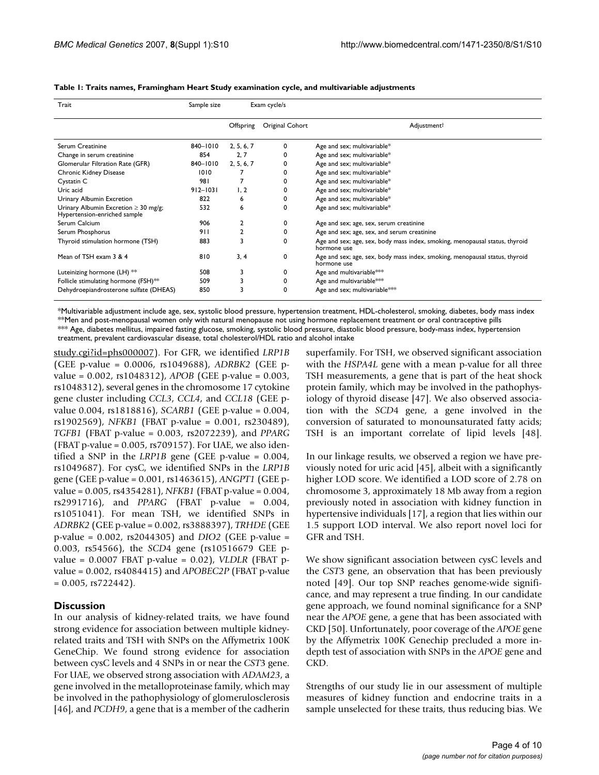| Trait                                                                     | Sample size  | Exam cycle/s |                 |                                                                                            |
|---------------------------------------------------------------------------|--------------|--------------|-----------------|--------------------------------------------------------------------------------------------|
|                                                                           |              | Offspring    | Original Cohort | Adjustment <sup>†</sup>                                                                    |
| Serum Creatinine                                                          | 840-1010     | 2, 5, 6, 7   | 0               | Age and sex; multivariable*                                                                |
| Change in serum creatinine                                                | 854          | 2.7          |                 | Age and sex; multivariable*                                                                |
| Glomerular Filtration Rate (GFR)                                          | 840-1010     | 2.5.6.7      | 0               | Age and sex; multivariable*                                                                |
| Chronic Kidney Disease                                                    | 1010         |              | 0               | Age and sex; multivariable*                                                                |
| Cystatin C                                                                | 981          | 7            | 0               | Age and sex; multivariable*                                                                |
| Uric acid                                                                 | $912 - 1031$ | 1.2          |                 | Age and sex; multivariable*                                                                |
| Urinary Albumin Excretion                                                 | 822          | 6            | 0               | Age and sex; multivariable*                                                                |
| Urinary Albumin Excretion $\geq 30$ mg/g;<br>Hypertension-enriched sample | 532          | 6            | $\Omega$        | Age and sex; multivariable*                                                                |
| Serum Calcium                                                             | 906          |              | 0               | Age and sex; age, sex, serum creatinine                                                    |
| Serum Phosphorus                                                          | 911          |              | 0               | Age and sex; age, sex, and serum creatinine                                                |
| Thyroid stimulation hormone (TSH)                                         | 883          |              | 0               | Age and sex; age, sex, body mass index, smoking, menopausal status, thyroid<br>hormone use |
| Mean of TSH exam 3 & 4                                                    | 810          | 3, 4         | 0               | Age and sex; age, sex, body mass index, smoking, menopausal status, thyroid<br>hormone use |
| Luteinizing hormone (LH) **                                               | 508          | 3            | 0               | Age and multivariable***                                                                   |
| Follicle stimulating hormone (FSH) <sup>**</sup>                          | 509          | З            | 0               | Age and multivariable***                                                                   |
| Dehydroepiandrosterone sulfate (DHEAS)                                    | 850          | 3            | 0               | Age and sex; multivariable***                                                              |

#### **Table 1: Traits names, Framingham Heart Study examination cycle, and multivariable adjustments**

\*Multivariable adjustment include age, sex, systolic blood pressure, hypertension treatment, HDL-cholesterol, smoking, diabetes, body mass index \*\*Men and post-menopausal women only with natural menopause not using hormone replacement treatment or oral contraceptive pills

\*\*\* Age, diabetes mellitus, impaired fasting glucose, smoking, systolic blood pressure, diastolic blood pressure, body-mass index, hypertension treatment, prevalent cardiovascular disease, total cholesterol/HDL ratio and alcohol intake

[study.cgi?id=phs000007\)](http://www.ncbi.nlm.nih.gov/projects/gap/cgi-bin/study.cgi?id=phs000007). For GFR, we identified *LRP1B* (GEE p-value = 0.0006, rs1049688), *ADRBK2* (GEE pvalue = 0.002, rs1048312), *APOB* (GEE p-value = 0.003, rs1048312), several genes in the chromosome 17 cytokine gene cluster including *CCL3*, *CCL4*, and *CCL18* (GEE pvalue 0.004, rs1818816), *SCARB1* (GEE p-value = 0.004, rs1902569), *NFKB1* (FBAT p-value = 0.001, rs230489), *TGFB1* (FBAT p-value = 0.003, rs2072239), and *PPARG* (FBAT p-value =  $0.005$ , rs709157). For UAE, we also identified a SNP in the *LRP1B* gene (GEE p-value = 0.004, rs1049687). For cysC, we identified SNPs in the *LRP1B* gene (GEE p-value = 0.001, rs1463615), *ANGPT1* (GEE pvalue = 0.005, rs4354281), *NFKB1* (FBAT p-value = 0.004, rs2991716), and *PPARG* (FBAT p-value = 0.004, rs1051041). For mean TSH, we identified SNPs in *ADRBK2* (GEE p-value = 0.002, rs3888397), *TRHDE* (GEE p-value = 0.002, rs2044305) and *DIO2* (GEE p-value = 0.003, rs54566), the *SCD*4 gene (rs10516679 GEE pvalue = 0.0007 FBAT p-value = 0.02), *VLDLR* (FBAT pvalue = 0.002, rs4084415) and *APOBEC2P* (FBAT p-value  $= 0.005$ , rs722442).

#### **Discussion**

In our analysis of kidney-related traits, we have found strong evidence for association between multiple kidneyrelated traits and TSH with SNPs on the Affymetrix 100K GeneChip. We found strong evidence for association between cysC levels and 4 SNPs in or near the *CST*3 gene. For UAE, we observed strong association with *ADAM23*, a gene involved in the metalloproteinase family, which may be involved in the pathophysiology of glomerulosclerosis [46], and *PCDH9*, a gene that is a member of the cadherin

superfamily. For TSH, we observed significant association with the *HSPA4L* gene with a mean p-value for all three TSH measurements, a gene that is part of the heat shock protein family, which may be involved in the pathophysiology of thyroid disease [47]. We also observed association with the *SCD*4 gene, a gene involved in the conversion of saturated to monounsaturated fatty acids; TSH is an important correlate of lipid levels [48].

In our linkage results, we observed a region we have previously noted for uric acid [45], albeit with a significantly higher LOD score. We identified a LOD score of 2.78 on chromosome 3, approximately 18 Mb away from a region previously noted in association with kidney function in hypertensive individuals [17], a region that lies within our 1.5 support LOD interval. We also report novel loci for GFR and TSH.

We show significant association between cysC levels and the *CST*3 gene, an observation that has been previously noted [49]. Our top SNP reaches genome-wide significance, and may represent a true finding. In our candidate gene approach, we found nominal significance for a SNP near the *APOE* gene, a gene that has been associated with CKD [50]. Unfortunately, poor coverage of the *APOE* gene by the Affymetrix 100K Genechip precluded a more indepth test of association with SNPs in the *APOE* gene and CKD.

Strengths of our study lie in our assessment of multiple measures of kidney function and endocrine traits in a sample unselected for these traits, thus reducing bias. We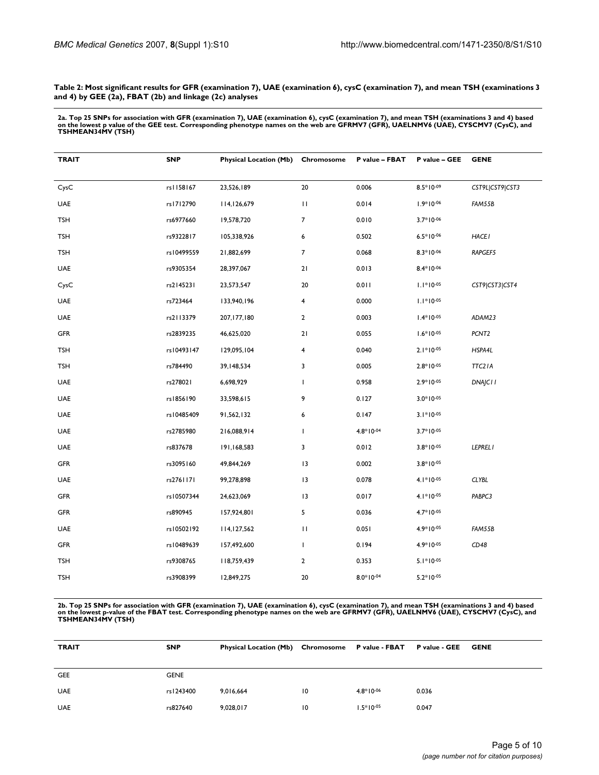**Table 2: Most significant results for GFR (examination 7), UAE (examination 6), cysC (examination 7), and mean TSH (examinations 3 and 4) by GEE (2a), FBAT (2b) and linkage (2c) analyses**

2a. Top 25 SNPs for association with GFR (examination 7), UAE (examination 6), cysC (examination 7), and mean TSH (examinations 3 and 4) based<br>on the lowest p value of the GEE test. Corresponding phenotype names on the web

| <b>TRAIT</b> | <b>SNP</b> | <b>Physical Location (Mb)</b> | Chromosome      | P value - FBAT | P value - GEE | <b>GENE</b>       |
|--------------|------------|-------------------------------|-----------------|----------------|---------------|-------------------|
| CysC         | rs1158167  | 23,526,189                    | 20              | 0.006          | $8.5*10-09$   | CST9L CST9 CST3   |
| <b>UAE</b>   | rs1712790  | 114,126,679                   | П               | 0.014          | $1.9*10-06$   | FAM55B            |
| <b>TSH</b>   | rs6977660  | 19,578,720                    | 7               | 0.010          | $3.7*10-06$   |                   |
| <b>TSH</b>   | rs9322817  | 105,338,926                   | 6               | 0.502          | $6.5*10-06$   | <b>HACE1</b>      |
| TSH          | rs10499559 | 21,882,699                    | 7               | 0.068          | $8.3*10-06$   | RAPGEF5           |
| <b>UAE</b>   | rs9305354  | 28,397,067                    | 21              | 0.013          | $8.4*10-06$   |                   |
| CysC         | rs2145231  | 23,573,547                    | 20              | 0.011          | $1.1*10-05$   | CST9 CST3 CST4    |
| <b>UAE</b>   | rs723464   | 133,940,196                   | 4               | 0.000          | $1.1*10-05$   |                   |
| <b>UAE</b>   | rs2113379  | 207, 177, 180                 | $\overline{2}$  | 0.003          | $1.4*10-05$   | ADAM23            |
| GFR          | rs2839235  | 46,625,020                    | 21              | 0.055          | $1.6*10-05$   | PCNT <sub>2</sub> |
| <b>TSH</b>   | rs10493147 | 129,095,104                   | 4               | 0.040          | $2.1*10-05$   | HSPA4L            |
| <b>TSH</b>   | rs784490   | 39,148,534                    | 3               | 0.005          | $2.8*10-05$   | TTC21A            |
| <b>UAE</b>   | rs278021   | 6,698,929                     | $\mathsf{I}$    | 0.958          | $2.9*10-05$   | <b>DNAJCII</b>    |
| <b>UAE</b>   | rs1856190  | 33,598,615                    | 9               | 0.127          | $3.0*10-05$   |                   |
| UAE          | rs10485409 | 91,562,132                    | 6               | 0.147          | $3.1*10-05$   |                   |
| <b>UAE</b>   | rs2785980  | 216,088,914                   | $\mathbf{I}$    | $4.8*10-04$    | $3.7*10-05$   |                   |
| <b>UAE</b>   | rs837678   | 191,168,583                   | 3               | 0.012          | $3.8*10-05$   | <b>LEPRELI</b>    |
| GFR          | rs3095160  | 49,844,269                    | $\overline{13}$ | 0.002          | $3.8*10-05$   |                   |
| <b>UAE</b>   | rs2761171  | 99,278,898                    | 13              | 0.078          | $4.1*10-05$   | <b>CLYBL</b>      |
| <b>GFR</b>   | rs10507344 | 24,623,069                    | 3               | 0.017          | $4.1*10-05$   | PABPC3            |
| GFR          | rs890945   | 157,924,801                   | 5               | 0.036          | 4.7*10-05     |                   |
| <b>UAE</b>   | rs10502192 | 114,127,562                   | П               | 0.051          | 4.9*10-05     | FAM55B            |
| <b>GFR</b>   | rs10489639 | 157,492,600                   | $\mathbf{I}$    | 0.194          | $4.9*10-05$   | CD48              |
| TSH          | rs9308765  | 118,759,439                   | $\overline{2}$  | 0.353          | $5.1*10-05$   |                   |
| <b>TSH</b>   | rs3908399  | 12,849,275                    | 20              | $8.0*10-04$    | $5.2*10-05$   |                   |

2b. Top 25 SNPs for association with GFR (examination 7), UAE (examination 6), cysC (examination 7), and mean TSH (examinations 3 and 4) based<br>on the lowest p-value of the FBAT test. Corresponding phenotype names on the we

| <b>TRAIT</b> | <b>SNP</b>  | Physical Location (Mb) Chromosome P value - FBAT P value - GEE GENE |                |             |       |  |
|--------------|-------------|---------------------------------------------------------------------|----------------|-------------|-------|--|
| <b>GEE</b>   | <b>GENE</b> |                                                                     |                |             |       |  |
| <b>UAE</b>   | rs1243400   | 9,016,664                                                           | $\overline{0}$ | $4.8*10-06$ | 0.036 |  |
| <b>UAE</b>   | rs827640    | 9,028,017                                                           | 10             | $1.5*10-05$ | 0.047 |  |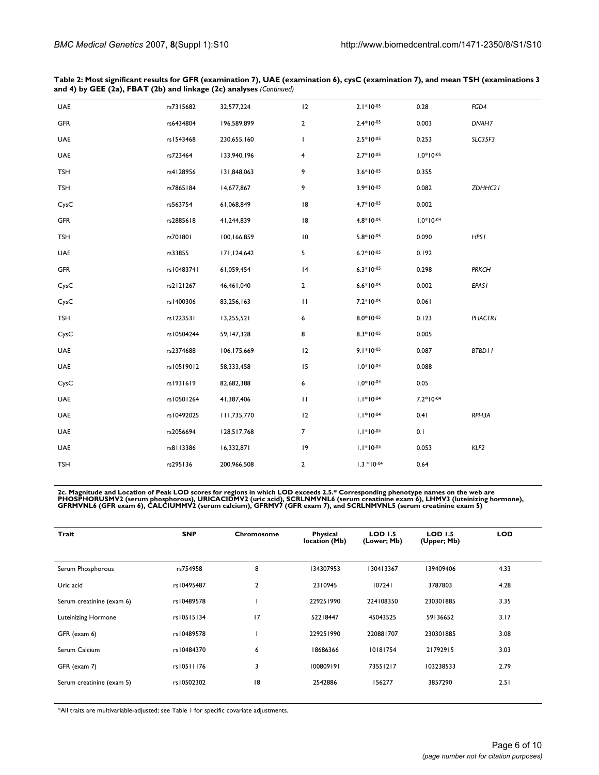| <b>UAE</b> | rs7315682  | 32,577,224   | 12              | $2.1*10-05$      | 0.28        | FGD4           |
|------------|------------|--------------|-----------------|------------------|-------------|----------------|
| <b>GFR</b> | rs6434804  | 196,589,899  | $\mathbf{2}$    | $2.4*10-05$      | 0.003       | DNAH7          |
| <b>UAE</b> | rs1543468  | 230,655,160  | L               | $2.5*10-05$      | 0.253       | SLC35F3        |
| <b>UAE</b> | rs723464   | 133,940,196  | 4               | $2.7*10-05$      | $1.0*10-05$ |                |
| <b>TSH</b> | rs4128956  | 131,848,063  | 9               | $3.6*10-05$      | 0.355       |                |
| <b>TSH</b> | rs7865184  | 14,677,867   | 9               | $3.9*10-05$      | 0.082       | ZDHHC21        |
| CysC       | rs563754   | 61,068,849   | 8               | $4.7*10^{-05}$   | 0.002       |                |
| <b>GFR</b> | rs2885618  | 41,244,839   | 8               | $4.8*10-05$      | $1.0*10-04$ |                |
| <b>TSH</b> | rs701801   | 100,166,859  | $\overline{10}$ | $5.8*10-05$      | 0.090       | HPS I          |
| <b>UAE</b> | rs33855    | 171,124,642  | 5               | $6.2*10-05$      | 0.192       |                |
| <b>GFR</b> | rs10483741 | 61,059,454   | 4               | $6.3*10-05$      | 0.298       | <b>PRKCH</b>   |
| CysC       | rs2121267  | 46,461,040   | $\mathbf{2}$    | $6.6*10-05$      | 0.002       | <b>EPASI</b>   |
| CysC       | rs1400306  | 83,256,163   | $\mathbf{H}$    | $7.2*10-05$      | 0.061       |                |
| <b>TSH</b> | rs1223531  | 13,255,521   | 6               | $8.0*10-05$      | 0.123       | <b>PHACTRI</b> |
| CysC       | rs10504244 | 59, 147, 328 | 8               | $8.3*10-05$      | 0.005       |                |
| <b>UAE</b> | rs2374688  | 106,175,669  | 12              | $9.1*10-05$      | 0.087       | BTBD11         |
| UAE        | rs10519012 | 58,333,458   | 15              | $1.0*10-04$      | 0.088       |                |
| CysC       | rs1931619  | 82,682,388   | 6               | $1.0*10-04$      | 0.05        |                |
| <b>UAE</b> | rs10501264 | 41,387,406   | $\mathbf{H}$    | $1.1*10-04$      | $7.2*10-04$ |                |
| <b>UAE</b> | rs10492025 | 111,735,770  | 12              | $1.1*10-04$      | 0.41        | RPH3A          |
| <b>UAE</b> | rs2056694  | 128,517,768  | 7 <sup>7</sup>  | $1.1*10-04$      | 0.1         |                |
| <b>UAE</b> | rs8113386  | 16,332,871   | 9               | $1.1*10-04$      | 0.053       | KLF2           |
| <b>TSH</b> | rs295136   | 200,966,508  | 2               | $1.3 * 10^{-04}$ | 0.64        |                |
|            |            |              |                 |                  |             |                |

**Table 2: Most significant results for GFR (examination 7), UAE (examination 6), cysC (examination 7), and mean TSH (examinations 3 and 4) by GEE (2a), FBAT (2b) and linkage (2c) analyses** *(Continued)*

2c. Magnitude and Location of Peak LOD scores for regions in which LOD exceeds 2.5.\* Corresponding phenotype names on the web are<br>PHOSPHORUSMV2 (serum phosphorous), URICACIDMV2 (uric acid), SCRLNMVNL6 (serum creatinine exa

| Trait                     | <b>SNP</b> | Chromosome     | <b>Physical</b><br>location (Mb) | <b>LOD 1.5</b><br>(Lower; Mb) | <b>LOD 1.5</b><br>(Upper; Mb) | <b>LOD</b> |
|---------------------------|------------|----------------|----------------------------------|-------------------------------|-------------------------------|------------|
| Serum Phosphorous         | rs754958   | 8              | 134307953                        | 130413367                     | 139409406                     | 4.33       |
| Uric acid                 | rs10495487 | $\overline{2}$ | 2310945                          | 107241                        | 3787803                       | 4.28       |
| Serum creatinine (exam 6) | rs10489578 |                | 229251990                        | 224108350                     | 230301885                     | 3.35       |
| Luteinizing Hormone       | rs10515134 | 17             | 52218447                         | 45043525                      | 59136652                      | 3.17       |
| GFR (exam 6)              | rs10489578 |                | 229251990                        | 220881707                     | 230301885                     | 3.08       |
| Serum Calcium             | rs10484370 | 6              | 18686366                         | 10181754                      | 21792915                      | 3.03       |
| GFR (exam 7)              | rs10511176 | 3              | 100809191                        | 73551217                      | 103238533                     | 2.79       |
| Serum creatinine (exam 5) | rs10502302 | 18             | 2542886                          | 156277                        | 3857290                       | 2.51       |
|                           |            |                |                                  |                               |                               |            |

\*All traits are multivariable-adjusted; see Table 1 for specific covariate adjustments.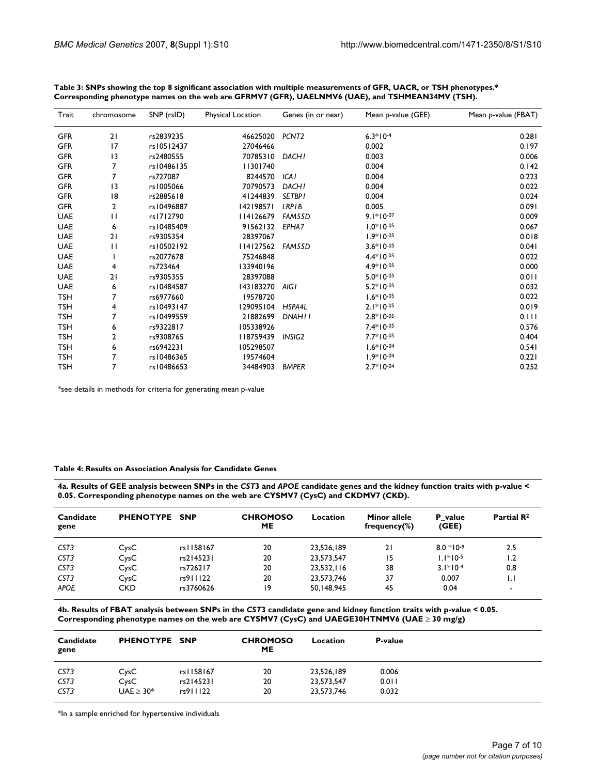| Trait      | chromosome     | SNP (rsID) | Physical Location | Genes (in or near) | Mean p-value (GEE) | Mean p-value (FBAT) |
|------------|----------------|------------|-------------------|--------------------|--------------------|---------------------|
| <b>GFR</b> | 21             | rs2839235  | 46625020          | PCNT <sub>2</sub>  | $6.3*10-4$         | 0.281               |
| <b>GFR</b> | 17             | rs10512437 | 27046466          |                    | 0.002              | 0.197               |
| <b>GFR</b> | 3              | rs2480555  | 70785310          | <b>DACHI</b>       | 0.003              | 0.006               |
| <b>GFR</b> | 7              | rs10486135 | 11301740          |                    | 0.004              | 0.142               |
| <b>GFR</b> | 7              | rs727087   | 8244570           | ICA I              | 0.004              | 0.223               |
| <b>GFR</b> | 3              | rs1005066  | 70790573          | <b>DACHI</b>       | 0.004              | 0.022               |
| <b>GFR</b> | 18             | rs2885618  | 41244839          | <b>SETBPI</b>      | 0.004              | 0.024               |
| <b>GFR</b> | $\overline{2}$ | rs10496887 | 142198571         | <b>LRPIB</b>       | 0.005              | 0.091               |
| <b>UAE</b> | $\mathbf{H}$   | rs1712790  | 114126679         | FAM55D             | $9.1*10-07$        | 0.009               |
| <b>UAE</b> | 6              | rs10485409 | 91562132          | EPHA7              | $1.0*10-05$        | 0.067               |
| <b>UAE</b> | 21             | rs9305354  | 28397067          |                    | $1.9*10^{-05}$     | 0.018               |
| <b>UAE</b> | $\mathbf{H}$   | rs10502192 | 114127562         | <b>FAM55D</b>      | $3.6*10-05$        | 0.041               |
| <b>UAE</b> |                | rs2077678  | 75246848          |                    | $4.4*10-05$        | 0.022               |
| <b>UAE</b> | 4              | rs723464   | 133940196         |                    | $4.9*10^{-05}$     | 0.000               |
| <b>UAE</b> | 21             | rs9305355  | 28397088          |                    | $5.0*10-05$        | 0.011               |
| <b>UAE</b> | 6              | rs10484587 | 143183270         | <b>AIGI</b>        | $5.2*10-05$        | 0.032               |
| <b>TSH</b> | 7              | rs6977660  | 19578720          |                    | $1.6*10^{-05}$     | 0.022               |
| <b>TSH</b> | 4              | rs10493147 | 129095104         | HSPA4L             | $2.1*10-05$        | 0.019               |
| <b>TSH</b> | 7              | rs10499559 | 21882699          | DNAH <sub>11</sub> | $2.8*10-05$        | 0.111               |
| <b>TSH</b> | 6              | rs9322817  | 105338926         |                    | $7.4*10-05$        | 0.576               |
| TSH        | 2              | rs9308765  | 118759439         | <b>INSIG2</b>      | $7.7*10^{-05}$     | 0.404               |
| <b>TSH</b> | 6              | rs6942231  | 105298507         |                    | $1.6*10-04$        | 0.541               |
| <b>TSH</b> | 7              | rs10486365 | 19574604          |                    | $1.9*10-04$        | 0.221               |
| TSH        | 7              | rs10486653 | 34484903          | <b>BMPER</b>       | $2.7*10-04$        | 0.252               |

**Table 3: SNPs showing the top 8 significant association with multiple measurements of GFR, UACR, or TSH phenotypes.\* Corresponding phenotype names on the web are GFRMV7 (GFR), UAELNMV6 (UAE), and TSHMEAN34MV (TSH).**

\*see details in methods for criteria for generating mean p-value

#### **Table 4: Results on Association Analysis for Candidate Genes**

**4a. Results of GEE analysis between SNPs in the** *CST***3 and** *APOE* **candidate genes and the kidney function traits with p-value < 0.05. Corresponding phenotype names on the web are CYSMV7 (CysC) and CKDMV7 (CKD).**

| Candidate<br>gene | <b>PHENOTYPE</b>  | <b>SNP</b> | <b>CHROMOSO</b><br><b>ME</b> | Location   | Minor allele<br>$frequency$ %) | P value<br>(GEE) | Partial R <sup>2</sup>   |
|-------------------|-------------------|------------|------------------------------|------------|--------------------------------|------------------|--------------------------|
| CST <sub>3</sub>  | C <sub>YS</sub> C | rs1158167  | 20                           | 23.526.189 | 21                             | $8.0 * 10^{-9}$  | 2.5                      |
| CST <sub>3</sub>  | C <sub>YS</sub> C | rs2145231  | 20                           | 23,573,547 | 15                             | $1.1*10-5$       | 1.2                      |
| CST <sub>3</sub>  | C <sub>YS</sub> C | rs726217   | 20                           | 23,532,116 | 38                             | $3.1*10-4$       | 0.8                      |
| CST <sub>3</sub>  | C <sub>YS</sub> C | rs911122   | 20                           | 23.573.746 | 37                             | 0.007            | $\mathsf{L}$             |
| <b>APOE</b>       | <b>CKD</b>        | rs3760626  | ۱9                           | 50.148.945 | 45                             | 0.04             | $\overline{\phantom{a}}$ |

**4b. Results of FBAT analysis between SNPs in the** *CST***3 candidate gene and kidney function traits with p-value < 0.05. Corresponding phenotype names on the web are CYSMV7 (CysC) and UAEGE30HTNMV6 (UAE** ≥ **30 mg/g)**

| Candidate<br>gene | PHENOTYPE SNP     |           | <b>CHROMOSO</b><br><b>ME</b> | Location   | <b>P-value</b> |
|-------------------|-------------------|-----------|------------------------------|------------|----------------|
| CST <sub>3</sub>  | C <sub>YS</sub> C | rs1158167 | 20                           | 23,526,189 | 0.006          |
| CST <sub>3</sub>  | $C$ ys $C$        | rs2145231 | 20                           | 23,573,547 | 0.011          |
| CST <sub>3</sub>  | $UAE \geq 30*$    | rs911122  | 20                           | 23.573.746 | 0.032          |

\*In a sample enriched for hypertensive individuals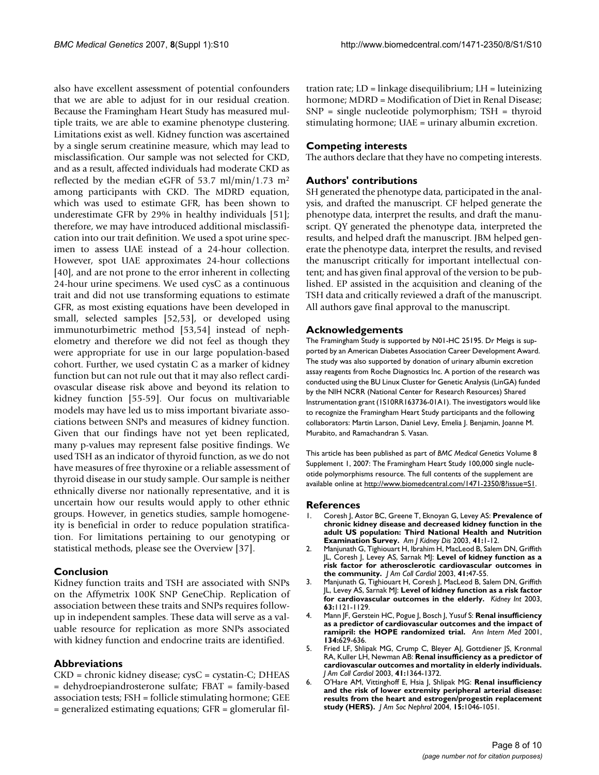also have excellent assessment of potential confounders that we are able to adjust for in our residual creation. Because the Framingham Heart Study has measured multiple traits, we are able to examine phenotype clustering. Limitations exist as well. Kidney function was ascertained by a single serum creatinine measure, which may lead to misclassification. Our sample was not selected for CKD, and as a result, affected individuals had moderate CKD as reflected by the median eGFR of 53.7 ml/min/1.73 m<sup>2</sup> among participants with CKD. The MDRD equation, which was used to estimate GFR, has been shown to underestimate GFR by 29% in healthy individuals [51]; therefore, we may have introduced additional misclassification into our trait definition. We used a spot urine specimen to assess UAE instead of a 24-hour collection. However, spot UAE approximates 24-hour collections [40], and are not prone to the error inherent in collecting 24-hour urine specimens. We used cysC as a continuous trait and did not use transforming equations to estimate GFR, as most existing equations have been developed in small, selected samples [52,53], or developed using immunoturbimetric method [53,54] instead of nephelometry and therefore we did not feel as though they were appropriate for use in our large population-based cohort. Further, we used cystatin C as a marker of kidney function but can not rule out that it may also reflect cardiovascular disease risk above and beyond its relation to kidney function [55-59]. Our focus on multivariable models may have led us to miss important bivariate associations between SNPs and measures of kidney function. Given that our findings have not yet been replicated, many p-values may represent false positive findings. We used TSH as an indicator of thyroid function, as we do not have measures of free thyroxine or a reliable assessment of thyroid disease in our study sample. Our sample is neither ethnically diverse nor nationally representative, and it is uncertain how our results would apply to other ethnic groups. However, in genetics studies, sample homogeneity is beneficial in order to reduce population stratification. For limitations pertaining to our genotyping or statistical methods, please see the Overview [37].

#### **Conclusion**

Kidney function traits and TSH are associated with SNPs on the Affymetrix 100K SNP GeneChip. Replication of association between these traits and SNPs requires followup in independent samples. These data will serve as a valuable resource for replication as more SNPs associated with kidney function and endocrine traits are identified.

#### **Abbreviations**

CKD = chronic kidney disease; cysC = cystatin-C; DHEAS = dehydroepiandrosterone sulfate; FBAT = family-based association tests; FSH = follicle stimulating hormone; GEE = generalized estimating equations; GFR = glomerular filtration rate; LD = linkage disequilibrium; LH = luteinizing hormone; MDRD = Modification of Diet in Renal Disease; SNP = single nucleotide polymorphism; TSH = thyroid stimulating hormone; UAE = urinary albumin excretion.

## **Competing interests**

The authors declare that they have no competing interests.

## **Authors' contributions**

SH generated the phenotype data, participated in the analysis, and drafted the manuscript. CF helped generate the phenotype data, interpret the results, and draft the manuscript. QY generated the phenotype data, interpreted the results, and helped draft the manuscript. JBM helped generate the phenotype data, interpret the results, and revised the manuscript critically for important intellectual content; and has given final approval of the version to be published. EP assisted in the acquisition and cleaning of the TSH data and critically reviewed a draft of the manuscript. All authors gave final approval to the manuscript.

## **Acknowledgements**

The Framingham Study is supported by N01-HC 25195. Dr Meigs is supported by an American Diabetes Association Career Development Award. The study was also supported by donation of urinary albumin excretion assay reagents from Roche Diagnostics Inc. A portion of the research was conducted using the BU Linux Cluster for Genetic Analysis (LinGA) funded by the NIH NCRR (National Center for Research Resources) Shared Instrumentation grant (1S10RR163736-01A1). The investigators would like to recognize the Framingham Heart Study participants and the following collaborators: Martin Larson, Daniel Levy, Emelia J. Benjamin, Joanne M. Murabito, and Ramachandran S. Vasan.

This article has been published as part of *BMC Medical Genetics* Volume 8 Supplement 1, 2007: The Framingham Heart Study 100,000 single nucleotide polymorphisms resource. The full contents of the supplement are available online at<http://www.biomedcentral.com/1471-2350/8?issue=S1>.

#### **References**

- 1. Coresh J, Astor BC, Greene T, Eknoyan G, Levey AS: **[Prevalence of](http://www.ncbi.nlm.nih.gov/entrez/query.fcgi?cmd=Retrieve&db=PubMed&dopt=Abstract&list_uids=12500213) [chronic kidney disease and decreased kidney function in the](http://www.ncbi.nlm.nih.gov/entrez/query.fcgi?cmd=Retrieve&db=PubMed&dopt=Abstract&list_uids=12500213) adult US population: Third National Health and Nutrition [Examination Survey.](http://www.ncbi.nlm.nih.gov/entrez/query.fcgi?cmd=Retrieve&db=PubMed&dopt=Abstract&list_uids=12500213)** *Am J Kidney Dis* 2003, **41:**1-12.
- 2. Manjunath G, Tighiouart H, Ibrahim H, MacLeod B, Salem DN, Griffith JL, Coresh J, Levey AS, Sarnak MJ: **[Level of kidney function as a](http://www.ncbi.nlm.nih.gov/entrez/query.fcgi?cmd=Retrieve&db=PubMed&dopt=Abstract&list_uids=12570944) [risk factor for atherosclerotic cardiovascular outcomes in](http://www.ncbi.nlm.nih.gov/entrez/query.fcgi?cmd=Retrieve&db=PubMed&dopt=Abstract&list_uids=12570944) [the community.](http://www.ncbi.nlm.nih.gov/entrez/query.fcgi?cmd=Retrieve&db=PubMed&dopt=Abstract&list_uids=12570944)** *J Am Coll Cardiol* 2003, **41:**47-55.
- 3. Manjunath G, Tighiouart H, Coresh J, MacLeod B, Salem DN, Griffith JL, Levey AS, Sarnak MJ: **[Level of kidney function as a risk factor](http://www.ncbi.nlm.nih.gov/entrez/query.fcgi?cmd=Retrieve&db=PubMed&dopt=Abstract&list_uids=12631096) [for cardiovascular outcomes in the elderly.](http://www.ncbi.nlm.nih.gov/entrez/query.fcgi?cmd=Retrieve&db=PubMed&dopt=Abstract&list_uids=12631096)** *Kidney Int* 2003, **63:**1121-1129.
- 4. Mann JF, Gerstein HC, Pogue J, Bosch J, Yusuf S: **[Renal insufficiency](http://www.ncbi.nlm.nih.gov/entrez/query.fcgi?cmd=Retrieve&db=PubMed&dopt=Abstract&list_uids=11304102) [as a predictor of cardiovascular outcomes and the impact of](http://www.ncbi.nlm.nih.gov/entrez/query.fcgi?cmd=Retrieve&db=PubMed&dopt=Abstract&list_uids=11304102) [ramipril: the HOPE randomized trial.](http://www.ncbi.nlm.nih.gov/entrez/query.fcgi?cmd=Retrieve&db=PubMed&dopt=Abstract&list_uids=11304102)** *Ann Intern Med* 2001, **134:**629-636.
- 5. Fried LF, Shlipak MG, Crump C, Bleyer AJ, Gottdiener JS, Kronmal RA, Kuller LH, Newman AB: **[Renal insufficiency as a predictor of](http://www.ncbi.nlm.nih.gov/entrez/query.fcgi?cmd=Retrieve&db=PubMed&dopt=Abstract&list_uids=12706933) [cardiovascular outcomes and mortality in elderly individuals.](http://www.ncbi.nlm.nih.gov/entrez/query.fcgi?cmd=Retrieve&db=PubMed&dopt=Abstract&list_uids=12706933)** *J Am Coll Cardiol* 2003, **41:**1364-1372.
- 6. O'Hare AM, Vittinghoff E, Hsia J, Shlipak MG: **[Renal insufficiency](http://www.ncbi.nlm.nih.gov/entrez/query.fcgi?cmd=Retrieve&db=PubMed&dopt=Abstract&list_uids=15034108) [and the risk of lower extremity peripheral arterial disease:](http://www.ncbi.nlm.nih.gov/entrez/query.fcgi?cmd=Retrieve&db=PubMed&dopt=Abstract&list_uids=15034108) results from the heart and estrogen/progestin replacement [study \(HERS\).](http://www.ncbi.nlm.nih.gov/entrez/query.fcgi?cmd=Retrieve&db=PubMed&dopt=Abstract&list_uids=15034108)** *J Am Soc Nephrol* 2004, **15:**1046-1051.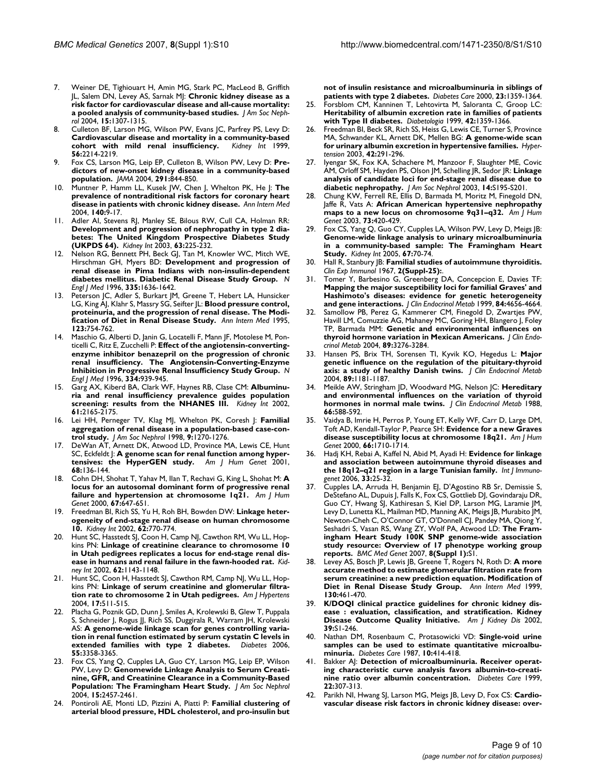- 7. Weiner DE, Tighiouart H, Amin MG, Stark PC, MacLeod B, Griffith JL, Salem DN, Levey AS, Sarnak MJ: **[Chronic kidney disease as a](http://www.ncbi.nlm.nih.gov/entrez/query.fcgi?cmd=Retrieve&db=PubMed&dopt=Abstract&list_uids=15100371) [risk factor for cardiovascular disease and all-cause mortality:](http://www.ncbi.nlm.nih.gov/entrez/query.fcgi?cmd=Retrieve&db=PubMed&dopt=Abstract&list_uids=15100371) [a pooled analysis of community-based studies.](http://www.ncbi.nlm.nih.gov/entrez/query.fcgi?cmd=Retrieve&db=PubMed&dopt=Abstract&list_uids=15100371)** *J Am Soc Nephrol* 2004, **15:**1307-1315.
- 8. Culleton BF, Larson MG, Wilson PW, Evans JC, Parfrey PS, Levy D: **[Cardiovascular disease and mortality in a community-based](http://www.ncbi.nlm.nih.gov/entrez/query.fcgi?cmd=Retrieve&db=PubMed&dopt=Abstract&list_uids=10594797)** [cohort with mild renal insufficiency.](http://www.ncbi.nlm.nih.gov/entrez/query.fcgi?cmd=Retrieve&db=PubMed&dopt=Abstract&list_uids=10594797) **56:**2214-2219.
- 9. Fox CS, Larson MG, Leip EP, Culleton B, Wilson PW, Levy D: **[Pre](http://www.ncbi.nlm.nih.gov/entrez/query.fcgi?cmd=Retrieve&db=PubMed&dopt=Abstract&list_uids=14970063)[dictors of new-onset kidney disease in a community-based](http://www.ncbi.nlm.nih.gov/entrez/query.fcgi?cmd=Retrieve&db=PubMed&dopt=Abstract&list_uids=14970063) [population.](http://www.ncbi.nlm.nih.gov/entrez/query.fcgi?cmd=Retrieve&db=PubMed&dopt=Abstract&list_uids=14970063)** *JAMA* 2004, **291:**844-850.
- 10. Muntner P, Hamm LL, Kusek JW, Chen J, Whelton PK, He J: **[The](http://www.ncbi.nlm.nih.gov/entrez/query.fcgi?cmd=Retrieve&db=PubMed&dopt=Abstract&list_uids=14706967) [prevalence of nontraditional risk factors for coronary heart](http://www.ncbi.nlm.nih.gov/entrez/query.fcgi?cmd=Retrieve&db=PubMed&dopt=Abstract&list_uids=14706967) [disease in patients with chronic kidney disease.](http://www.ncbi.nlm.nih.gov/entrez/query.fcgi?cmd=Retrieve&db=PubMed&dopt=Abstract&list_uids=14706967)** *Ann Intern Med* 2004, **140:**9-17.
- Adler AI, Stevens RJ, Manley SE, Bilous RW, Cull CA, Holman RR: **[Development and progression of nephropathy in type 2 dia](http://www.ncbi.nlm.nih.gov/entrez/query.fcgi?cmd=Retrieve&db=PubMed&dopt=Abstract&list_uids=12472787)betes: The United Kingdom Prospective Diabetes Study [\(UKPDS 64\).](http://www.ncbi.nlm.nih.gov/entrez/query.fcgi?cmd=Retrieve&db=PubMed&dopt=Abstract&list_uids=12472787)** *Kidney Int* 2003, **63:**225-232.
- 12. Nelson RG, Bennett PH, Beck GJ, Tan M, Knowler WC, Mitch WE, Hirschman GH, Myers BD: **[Development and progression of](http://www.ncbi.nlm.nih.gov/entrez/query.fcgi?cmd=Retrieve&db=PubMed&dopt=Abstract&list_uids=8929360) [renal disease in Pima Indians with non-insulin-dependent](http://www.ncbi.nlm.nih.gov/entrez/query.fcgi?cmd=Retrieve&db=PubMed&dopt=Abstract&list_uids=8929360) [diabetes mellitus. Diabetic Renal Disease Study Group.](http://www.ncbi.nlm.nih.gov/entrez/query.fcgi?cmd=Retrieve&db=PubMed&dopt=Abstract&list_uids=8929360)** *N Engl J Med* 1996, **335:**1636-1642.
- 13. Peterson JC, Adler S, Burkart JM, Greene T, Hebert LA, Hunsicker LG, King AJ, Klahr S, Massry SG, Seifter JL: **[Blood pressure control,](http://www.ncbi.nlm.nih.gov/entrez/query.fcgi?cmd=Retrieve&db=PubMed&dopt=Abstract&list_uids=7574193) [proteinuria, and the progression of renal disease. The Modi](http://www.ncbi.nlm.nih.gov/entrez/query.fcgi?cmd=Retrieve&db=PubMed&dopt=Abstract&list_uids=7574193)[fication of Diet in Renal Disease Study.](http://www.ncbi.nlm.nih.gov/entrez/query.fcgi?cmd=Retrieve&db=PubMed&dopt=Abstract&list_uids=7574193)** *Ann Intern Med* 1995, **123:**754-762.
- 14. Maschio G, Alberti D, Janin G, Locatelli F, Mann JF, Motolese M, Ponticelli C, Ritz E, Zucchelli P: **[Effect of the angiotensin-converting](http://www.ncbi.nlm.nih.gov/entrez/query.fcgi?cmd=Retrieve&db=PubMed&dopt=Abstract&list_uids=8596594)[enzyme inhibitor benazepril on the progression of chronic](http://www.ncbi.nlm.nih.gov/entrez/query.fcgi?cmd=Retrieve&db=PubMed&dopt=Abstract&list_uids=8596594) renal insufficiency. The Angiotensin-Converting-Enzyme [Inhibition in Progressive Renal Insufficiency Study Group.](http://www.ncbi.nlm.nih.gov/entrez/query.fcgi?cmd=Retrieve&db=PubMed&dopt=Abstract&list_uids=8596594)** *N Engl J Med* 1996, **334:**939-945.
- 15. Garg AX, Kiberd BA, Clark WF, Haynes RB, Clase CM: **[Albuminu](http://www.ncbi.nlm.nih.gov/entrez/query.fcgi?cmd=Retrieve&db=PubMed&dopt=Abstract&list_uids=12028457)[ria and renal insufficiency prevalence guides population](http://www.ncbi.nlm.nih.gov/entrez/query.fcgi?cmd=Retrieve&db=PubMed&dopt=Abstract&list_uids=12028457) [screening: results from the NHANES III.](http://www.ncbi.nlm.nih.gov/entrez/query.fcgi?cmd=Retrieve&db=PubMed&dopt=Abstract&list_uids=12028457)** *Kidney Int* 2002, **61:**2165-2175.
- 16. Lei HH, Perneger TV, Klag MJ, Whelton PK, Coresh J: **[Familial](http://www.ncbi.nlm.nih.gov/entrez/query.fcgi?cmd=Retrieve&db=PubMed&dopt=Abstract&list_uids=9644638) [aggregation of renal disease in a population-based case-con](http://www.ncbi.nlm.nih.gov/entrez/query.fcgi?cmd=Retrieve&db=PubMed&dopt=Abstract&list_uids=9644638)[trol study.](http://www.ncbi.nlm.nih.gov/entrez/query.fcgi?cmd=Retrieve&db=PubMed&dopt=Abstract&list_uids=9644638)** *J Am Soc Nephrol* 1998, **9:**1270-1276.
- 17. DeWan AT, Arnett DK, Atwood LD, Province MA, Lewis CE, Hunt SC, Eckfeldt J: **[A genome scan for renal function among hyper](http://www.ncbi.nlm.nih.gov/entrez/query.fcgi?cmd=Retrieve&db=PubMed&dopt=Abstract&list_uids=11115379)[tensives: the HyperGEN study.](http://www.ncbi.nlm.nih.gov/entrez/query.fcgi?cmd=Retrieve&db=PubMed&dopt=Abstract&list_uids=11115379)** *Am J Hum Genet* 2001, **68:**136-144.
- 18. Cohn DH, Shohat T, Yahav M, Ilan T, Rechavi G, King L, Shohat M: **[A](http://www.ncbi.nlm.nih.gov/entrez/query.fcgi?cmd=Retrieve&db=PubMed&dopt=Abstract&list_uids=10930359) [locus for an autosomal dominant form of progressive renal](http://www.ncbi.nlm.nih.gov/entrez/query.fcgi?cmd=Retrieve&db=PubMed&dopt=Abstract&list_uids=10930359) [failure and hypertension at chromosome 1q21.](http://www.ncbi.nlm.nih.gov/entrez/query.fcgi?cmd=Retrieve&db=PubMed&dopt=Abstract&list_uids=10930359)** *Am J Hum Genet* 2000, **67:**647-651.
- 19. Freedman BI, Rich SS, Yu H, Roh BH, Bowden DW: **[Linkage heter](http://www.ncbi.nlm.nih.gov/entrez/query.fcgi?cmd=Retrieve&db=PubMed&dopt=Abstract&list_uids=12164858)[ogeneity of end-stage renal disease on human chromosome](http://www.ncbi.nlm.nih.gov/entrez/query.fcgi?cmd=Retrieve&db=PubMed&dopt=Abstract&list_uids=12164858) [10.](http://www.ncbi.nlm.nih.gov/entrez/query.fcgi?cmd=Retrieve&db=PubMed&dopt=Abstract&list_uids=12164858)** *Kidney Int* 2002, **62:**770-774.
- 20. Hunt SC, Hasstedt SJ, Coon H, Camp NJ, Cawthon RM, Wu LL, Hopkins PN: **[Linkage of creatinine clearance to chromosome 10](http://www.ncbi.nlm.nih.gov/entrez/query.fcgi?cmd=Retrieve&db=PubMed&dopt=Abstract&list_uids=12234284) [in Utah pedigrees replicates a locus for end-stage renal dis](http://www.ncbi.nlm.nih.gov/entrez/query.fcgi?cmd=Retrieve&db=PubMed&dopt=Abstract&list_uids=12234284)[ease in humans and renal failure in the fawn-hooded rat.](http://www.ncbi.nlm.nih.gov/entrez/query.fcgi?cmd=Retrieve&db=PubMed&dopt=Abstract&list_uids=12234284)** *Kidney Int* 2002, **62:**1143-1148.
- 21. Hunt SC, Coon H, Hasstedt SJ, Cawthon RM, Camp NJ, Wu LL, Hopkins PN: **[Linkage of serum creatinine and glomerular filtra](http://www.ncbi.nlm.nih.gov/entrez/query.fcgi?cmd=Retrieve&db=PubMed&dopt=Abstract&list_uids=15177524)[tion rate to chromosome 2 in Utah pedigrees.](http://www.ncbi.nlm.nih.gov/entrez/query.fcgi?cmd=Retrieve&db=PubMed&dopt=Abstract&list_uids=15177524)** *Am J Hypertens* 2004, **17:**511-515.
- 22. Placha G, Poznik GD, Dunn J, Smiles A, Krolewski B, Glew T, Puppala S, Schneider J, Rogus JJ, Rich SS, Duggirala R, Warram JH, Krolewski AS: **[A genome-wide linkage scan for genes controlling varia](http://www.ncbi.nlm.nih.gov/entrez/query.fcgi?cmd=Retrieve&db=PubMed&dopt=Abstract&list_uids=17130480)[tion in renal function estimated by serum cystatin C levels in](http://www.ncbi.nlm.nih.gov/entrez/query.fcgi?cmd=Retrieve&db=PubMed&dopt=Abstract&list_uids=17130480) [extended families with type 2 diabetes.](http://www.ncbi.nlm.nih.gov/entrez/query.fcgi?cmd=Retrieve&db=PubMed&dopt=Abstract&list_uids=17130480)** *Diabetes* 2006, **55:**3358-3365.
- 23. Fox CS, Yang Q, Cupples LA, Guo CY, Larson MG, Leip EP, Wilson PW, Levy D: **[Genomewide Linkage Analysis to Serum Creati](http://www.ncbi.nlm.nih.gov/entrez/query.fcgi?cmd=Retrieve&db=PubMed&dopt=Abstract&list_uids=15339995)[nine, GFR, and Creatinine Clearance in a Community-Based](http://www.ncbi.nlm.nih.gov/entrez/query.fcgi?cmd=Retrieve&db=PubMed&dopt=Abstract&list_uids=15339995) [Population: The Framingham Heart Study.](http://www.ncbi.nlm.nih.gov/entrez/query.fcgi?cmd=Retrieve&db=PubMed&dopt=Abstract&list_uids=15339995)** *J Am Soc Nephrol* 2004, **15:**2457-2461.
- 24. Pontiroli AE, Monti LD, Pizzini A, Piatti P: **[Familial clustering of](http://www.ncbi.nlm.nih.gov/entrez/query.fcgi?cmd=Retrieve&db=PubMed&dopt=Abstract&list_uids=10977033) [arterial blood pressure, HDL cholesterol, and pro-insulin but](http://www.ncbi.nlm.nih.gov/entrez/query.fcgi?cmd=Retrieve&db=PubMed&dopt=Abstract&list_uids=10977033)**

**[not of insulin resistance and microalbuminuria in siblings of](http://www.ncbi.nlm.nih.gov/entrez/query.fcgi?cmd=Retrieve&db=PubMed&dopt=Abstract&list_uids=10977033) [patients with type 2 diabetes.](http://www.ncbi.nlm.nih.gov/entrez/query.fcgi?cmd=Retrieve&db=PubMed&dopt=Abstract&list_uids=10977033)** *Diabetes Care* 2000, **23:**1359-1364.

- 25. Forsblom CM, Kanninen T, Lehtovirta M, Saloranta C, Groop LC: **[Heritability of albumin excretion rate in families of patients](http://www.ncbi.nlm.nih.gov/entrez/query.fcgi?cmd=Retrieve&db=PubMed&dopt=Abstract&list_uids=10550421) [with Type II diabetes.](http://www.ncbi.nlm.nih.gov/entrez/query.fcgi?cmd=Retrieve&db=PubMed&dopt=Abstract&list_uids=10550421)** *Diabetologia* 1999, **42:**1359-1366.
- 26. Freedman BI, Beck SR, Rich SS, Heiss G, Lewis CE, Turner S, Province MA, Schwander KL, Arnett DK, Mellen BG: **[A genome-wide scan](http://www.ncbi.nlm.nih.gov/entrez/query.fcgi?cmd=Retrieve&db=PubMed&dopt=Abstract&list_uids=12925555) [for urinary albumin excretion in hypertensive families.](http://www.ncbi.nlm.nih.gov/entrez/query.fcgi?cmd=Retrieve&db=PubMed&dopt=Abstract&list_uids=12925555)** *Hypertension* 2003, **42:**291-296.
- 27. Iyengar SK, Fox KA, Schachere M, Manzoor F, Slaughter ME, Covic AM, Orloff SM, Hayden PS, Olson JM, Schelling JR, Sedor JR: **[Linkage](http://www.ncbi.nlm.nih.gov/entrez/query.fcgi?cmd=Retrieve&db=PubMed&dopt=Abstract&list_uids=12819328) [analysis of candidate loci for end-stage renal disease due to](http://www.ncbi.nlm.nih.gov/entrez/query.fcgi?cmd=Retrieve&db=PubMed&dopt=Abstract&list_uids=12819328) [diabetic nephropathy.](http://www.ncbi.nlm.nih.gov/entrez/query.fcgi?cmd=Retrieve&db=PubMed&dopt=Abstract&list_uids=12819328)** *J Am Soc Nephrol* 2003, **14:**S195-S201.
- 28. Chung KW, Ferrell RE, Ellis D, Barmada M, Moritz M, Finegold DN, Jaffe R, Vats A: **[African American hypertensive nephropathy](http://www.ncbi.nlm.nih.gov/entrez/query.fcgi?cmd=Retrieve&db=PubMed&dopt=Abstract&list_uids=12840782) [maps to a new locus on chromosome 9q31–q32.](http://www.ncbi.nlm.nih.gov/entrez/query.fcgi?cmd=Retrieve&db=PubMed&dopt=Abstract&list_uids=12840782)** *Am J Hum Genet* 2003, **73:**420-429.
- 29. Fox CS, Yang Q, Guo CY, Cupples LA, Wilson PW, Levy D, Meigs JB: **[Genome-wide linkage analysis to urinary microalbuminuria](http://www.ncbi.nlm.nih.gov/entrez/query.fcgi?cmd=Retrieve&db=PubMed&dopt=Abstract&list_uids=15610229) in a community-based sample: The Framingham Heart [Study.](http://www.ncbi.nlm.nih.gov/entrez/query.fcgi?cmd=Retrieve&db=PubMed&dopt=Abstract&list_uids=15610229)** *Kidney Int* 2005, **67:**70-74.
- 30. Hall R, Stanbury JB: **Familial studies of autoimmune thyroiditis.** *Clin Exp Immunol* 1967, **2(Suppl-25):**.
- 31. Tomer Y, Barbesino G, Greenberg DA, Concepcion E, Davies TF: **[Mapping the major susceptibility loci for familial Graves' and](http://www.ncbi.nlm.nih.gov/entrez/query.fcgi?cmd=Retrieve&db=PubMed&dopt=Abstract&list_uids=10599734) Hashimoto's diseases: evidence for genetic heterogeneity [and gene interactions.](http://www.ncbi.nlm.nih.gov/entrez/query.fcgi?cmd=Retrieve&db=PubMed&dopt=Abstract&list_uids=10599734)** *J Clin Endocrinol Metab* 1999, **84:**4656-4664.
- 32. Samollow PB, Perez G, Kammerer CM, Finegold D, Zwartjes PW, Havill LM, Comuzzie AG, Mahaney MC, Goring HH, Blangero J, Foley TP, Barmada MM: **[Genetic and environmental influences on](http://www.ncbi.nlm.nih.gov/entrez/query.fcgi?cmd=Retrieve&db=PubMed&dopt=Abstract&list_uids=15240603) [thyroid hormone variation in Mexican Americans.](http://www.ncbi.nlm.nih.gov/entrez/query.fcgi?cmd=Retrieve&db=PubMed&dopt=Abstract&list_uids=15240603)** *J Clin Endocrinol Metab* 2004, **89:**3276-3284.
- 33. Hansen PS, Brix TH, Sorensen TI, Kyvik KO, Hegedus L: **[Major](http://www.ncbi.nlm.nih.gov/entrez/query.fcgi?cmd=Retrieve&db=PubMed&dopt=Abstract&list_uids=15001606) [genetic influence on the regulation of the pituitary-thyroid](http://www.ncbi.nlm.nih.gov/entrez/query.fcgi?cmd=Retrieve&db=PubMed&dopt=Abstract&list_uids=15001606) [axis: a study of healthy Danish twins.](http://www.ncbi.nlm.nih.gov/entrez/query.fcgi?cmd=Retrieve&db=PubMed&dopt=Abstract&list_uids=15001606)** *J Clin Endocrinol Metab* 2004, **89:**1181-1187.
- 34. Meikle AW, Stringham JD, Woodward MG, Nelson JC: **[Hereditary](http://www.ncbi.nlm.nih.gov/entrez/query.fcgi?cmd=Retrieve&db=PubMed&dopt=Abstract&list_uids=3350909) [and environmental influences on the variation of thyroid](http://www.ncbi.nlm.nih.gov/entrez/query.fcgi?cmd=Retrieve&db=PubMed&dopt=Abstract&list_uids=3350909) [hormones in normal male twins.](http://www.ncbi.nlm.nih.gov/entrez/query.fcgi?cmd=Retrieve&db=PubMed&dopt=Abstract&list_uids=3350909)** *J Clin Endocrinol Metab* 1988, **66:**588-592.
- 35. Vaidya B, Imrie H, Perros P, Young ET, Kelly WF, Carr D, Large DM, Toft AD, Kendall-Taylor P, Pearce SH: **[Evidence for a new Graves](http://www.ncbi.nlm.nih.gov/entrez/query.fcgi?cmd=Retrieve&db=PubMed&dopt=Abstract&list_uids=10762555) [disease susceptibility locus at chromosome 18q21.](http://www.ncbi.nlm.nih.gov/entrez/query.fcgi?cmd=Retrieve&db=PubMed&dopt=Abstract&list_uids=10762555)** *Am J Hum Genet* 2000, **66:**1710-1714.
- 36. Hadj KH, Rebai A, Kaffel N, Abid M, Ayadi H: **[Evidence for linkage](http://www.ncbi.nlm.nih.gov/entrez/query.fcgi?cmd=Retrieve&db=PubMed&dopt=Abstract&list_uids=16426239) [and association between autoimmune thyroid diseases and](http://www.ncbi.nlm.nih.gov/entrez/query.fcgi?cmd=Retrieve&db=PubMed&dopt=Abstract&list_uids=16426239) [the 18q12–q21 region in a large Tunisian family.](http://www.ncbi.nlm.nih.gov/entrez/query.fcgi?cmd=Retrieve&db=PubMed&dopt=Abstract&list_uids=16426239)** *Int J Immunogenet* 2006, **33:**25-32.
- 37. Cupples LA, Arruda H, Benjamin EJ, D'Agostino RB Sr, Demissie S, DeStefano AL, Dupuis J, Falls K, Fox CS, Gottlieb DJ, Govindaraju DR, Guo CY, Hwang SJ, Kathiresan S, Kiel DP, Larson MG, Laramie JM, Levy D, Lunetta KL, Mailman MD, Manning AK, Meigs JB, Murabito JM, Newton-Cheh C, O'Connor GT, O'Donnell CJ, Pandey MA, Qiong Y, Seshadri S, Vasan RS, Wang ZY, Wolf PA, Atwood LD: **The Framingham Heart Study 100K SNP genome-wide association study resource: Overview of 17 phenotype working group reports.** *BMC Med Genet* 2007, **8(Suppl 1):**S1.
- 38. Levey AS, Bosch JP, Lewis JB, Greene T, Rogers N, Roth D: **[A more](http://www.ncbi.nlm.nih.gov/entrez/query.fcgi?cmd=Retrieve&db=PubMed&dopt=Abstract&list_uids=10075613) [accurate method to estimate glomerular filtration rate from](http://www.ncbi.nlm.nih.gov/entrez/query.fcgi?cmd=Retrieve&db=PubMed&dopt=Abstract&list_uids=10075613) serum creatinine: a new prediction equation. Modification of [Diet in Renal Disease Study Group.](http://www.ncbi.nlm.nih.gov/entrez/query.fcgi?cmd=Retrieve&db=PubMed&dopt=Abstract&list_uids=10075613)** *Ann Intern Med* 1999, **130:**461-470.
- 39. **[K/DOQI clinical practice guidelines for chronic kidney dis](http://www.ncbi.nlm.nih.gov/entrez/query.fcgi?cmd=Retrieve&db=PubMed&dopt=Abstract&list_uids=11904577)[ease : evaluation, classification, and stratification. Kidney](http://www.ncbi.nlm.nih.gov/entrez/query.fcgi?cmd=Retrieve&db=PubMed&dopt=Abstract&list_uids=11904577) [Disease Outcome Quality Initiative.](http://www.ncbi.nlm.nih.gov/entrez/query.fcgi?cmd=Retrieve&db=PubMed&dopt=Abstract&list_uids=11904577)** *Am J Kidney Dis* 2002, **39:**S1-246.
- 40. Nathan DM, Rosenbaum C, Protasowicki VD: **[Single-void urine](http://www.ncbi.nlm.nih.gov/entrez/query.fcgi?cmd=Retrieve&db=PubMed&dopt=Abstract&list_uids=3622198) [samples can be used to estimate quantitative microalbu](http://www.ncbi.nlm.nih.gov/entrez/query.fcgi?cmd=Retrieve&db=PubMed&dopt=Abstract&list_uids=3622198)[minuria.](http://www.ncbi.nlm.nih.gov/entrez/query.fcgi?cmd=Retrieve&db=PubMed&dopt=Abstract&list_uids=3622198)** *Diabetes Care* 1987, **10:**414-418.
- 41. Bakker AJ: **[Detection of microalbuminuria. Receiver operat](http://www.ncbi.nlm.nih.gov/entrez/query.fcgi?cmd=Retrieve&db=PubMed&dopt=Abstract&list_uids=10333950)[ing characteristic curve analysis favors albumin-to-creati](http://www.ncbi.nlm.nih.gov/entrez/query.fcgi?cmd=Retrieve&db=PubMed&dopt=Abstract&list_uids=10333950)[nine ratio over albumin concentration.](http://www.ncbi.nlm.nih.gov/entrez/query.fcgi?cmd=Retrieve&db=PubMed&dopt=Abstract&list_uids=10333950)** *Diabetes Care* 1999, **22:**307-313.
- 42. Parikh NI, Hwang SJ, Larson MG, Meigs JB, Levy D, Fox CS: **[Cardio](http://www.ncbi.nlm.nih.gov/entrez/query.fcgi?cmd=Retrieve&db=PubMed&dopt=Abstract&list_uids=17000946)[vascular disease risk factors in chronic kidney disease: over](http://www.ncbi.nlm.nih.gov/entrez/query.fcgi?cmd=Retrieve&db=PubMed&dopt=Abstract&list_uids=17000946)-**